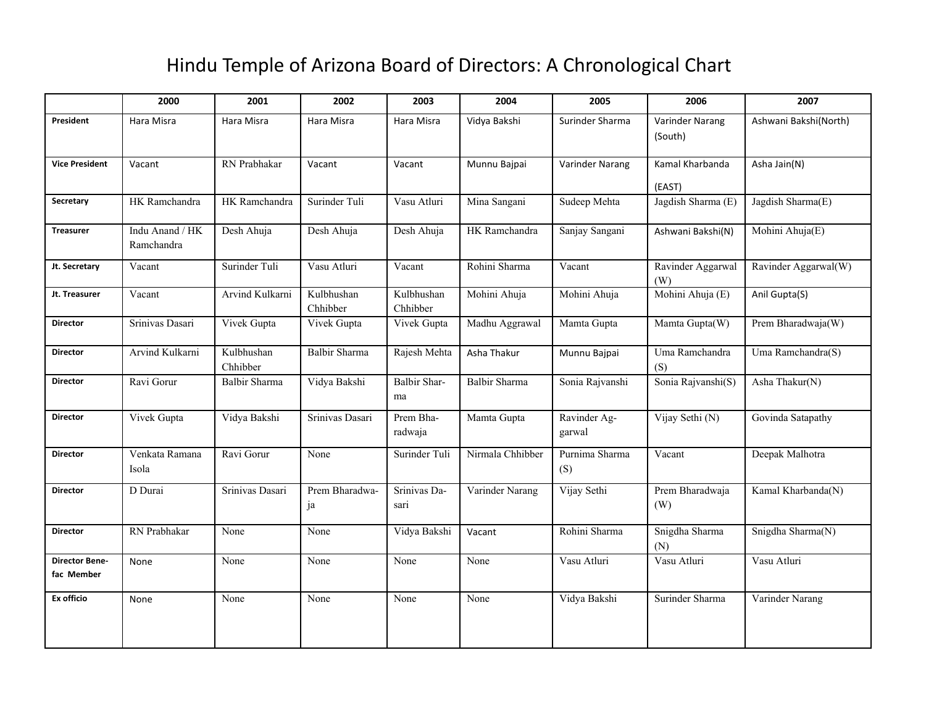## Hindu Temple of Arizona Board of Directors: A Chronological Chart

|                                     | 2000                          | 2001                   | 2002                   | 2003                      | 2004             | 2005                   | 2006                       | 2007                  |
|-------------------------------------|-------------------------------|------------------------|------------------------|---------------------------|------------------|------------------------|----------------------------|-----------------------|
| President                           | Hara Misra                    | Hara Misra             | Hara Misra             | Hara Misra                | Vidya Bakshi     | Surinder Sharma        | Varinder Narang<br>(South) | Ashwani Bakshi(North) |
| <b>Vice President</b>               | Vacant                        | RN Prabhakar           | Vacant                 | Vacant                    | Munnu Bajpai     | Varinder Narang        | Kamal Kharbanda<br>(EAST)  | Asha Jain(N)          |
| Secretary                           | HK Ramchandra                 | HK Ramchandra          | Surinder Tuli          | Vasu Atluri               | Mina Sangani     | Sudeep Mehta           | Jagdish Sharma (E)         | Jagdish Sharma(E)     |
| <b>Treasurer</b>                    | Indu Anand / HK<br>Ramchandra | Desh Ahuja             | Desh Ahuja             | Desh Ahuja                | HK Ramchandra    | Sanjay Sangani         | Ashwani Bakshi(N)          | Mohini Ahuja(E)       |
| Jt. Secretary                       | Vacant                        | Surinder Tuli          | Vasu Atluri            | Vacant                    | Rohini Sharma    | Vacant                 | Ravinder Aggarwal<br>(W)   | Ravinder Aggarwal(W)  |
| Jt. Treasurer                       | Vacant                        | Arvind Kulkarni        | Kulbhushan<br>Chhibber | Kulbhushan<br>Chhibber    | Mohini Ahuja     | Mohini Ahuja           | Mohini Ahuja (E)           | Anil Gupta(S)         |
| <b>Director</b>                     | Srinivas Dasari               | Vivek Gupta            | Vivek Gupta            | Vivek Gupta               | Madhu Aggrawal   | Mamta Gupta            | Mamta Gupta(W)             | Prem Bharadwaja(W)    |
| <b>Director</b>                     | Arvind Kulkarni               | Kulbhushan<br>Chhibber | <b>Balbir Sharma</b>   | Rajesh Mehta              | Asha Thakur      | Munnu Bajpai           | Uma Ramchandra<br>(S)      | Uma Ramchandra(S)     |
| <b>Director</b>                     | Ravi Gorur                    | Balbir Sharma          | Vidya Bakshi           | <b>Balbir Shar-</b><br>ma | Balbir Sharma    | Sonia Rajvanshi        | Sonia Rajvanshi(S)         | Asha Thakur(N)        |
| <b>Director</b>                     | Vivek Gupta                   | Vidya Bakshi           | Srinivas Dasari        | Prem Bha-<br>radwaja      | Mamta Gupta      | Ravinder Ag-<br>garwal | Vijay Sethi (N)            | Govinda Satapathy     |
| <b>Director</b>                     | Venkata Ramana<br>Isola       | Ravi Gorur             | None                   | Surinder Tuli             | Nirmala Chhibber | Purnima Sharma<br>(S)  | Vacant                     | Deepak Malhotra       |
| <b>Director</b>                     | D Durai                       | Srinivas Dasari        | Prem Bharadwa-<br>ja   | Srinivas Da-<br>sari      | Varinder Narang  | Vijay Sethi            | Prem Bharadwaja<br>(W)     | Kamal Kharbanda(N)    |
| <b>Director</b>                     | RN Prabhakar                  | None                   | None                   | Vidya Bakshi              | Vacant           | Rohini Sharma          | Snigdha Sharma<br>(N)      | Snigdha Sharma(N)     |
| <b>Director Bene-</b><br>fac Member | None                          | None                   | None                   | None                      | None             | Vasu Atluri            | Vasu Atluri                | Vasu Atluri           |
| <b>Ex officio</b>                   | None                          | None                   | None                   | None                      | None             | Vidya Bakshi           | Surinder Sharma            | Varinder Narang       |